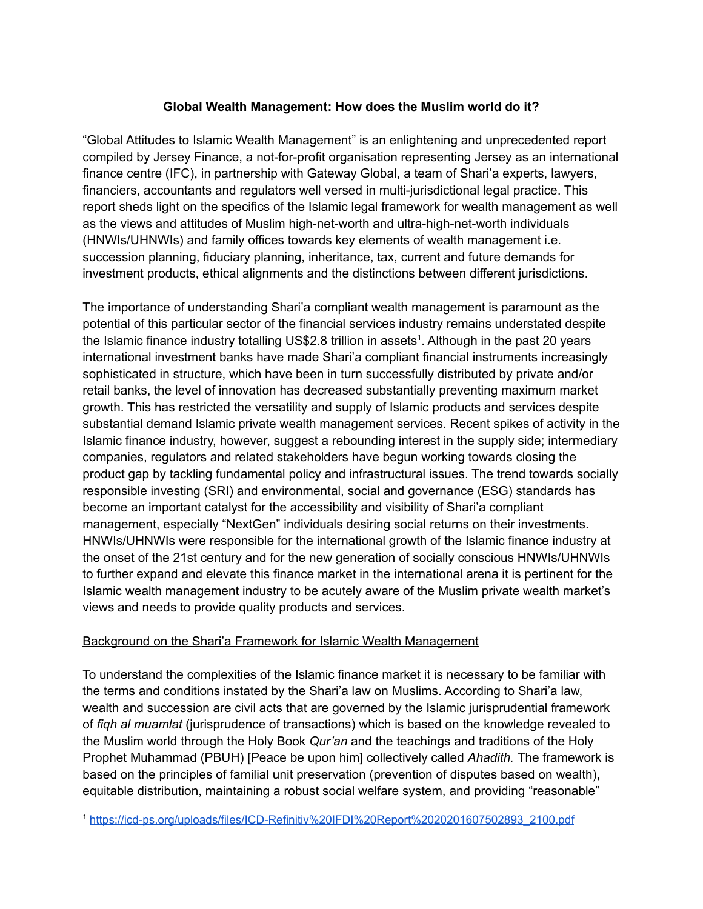# **Global Wealth Management: How does the Muslim world do it?**

"Global Attitudes to Islamic Wealth Management" is an enlightening and unprecedented report compiled by Jersey Finance, a not-for-profit organisation representing Jersey as an international finance centre (IFC), in partnership with Gateway Global, a team of Shari'a experts, lawyers, financiers, accountants and regulators well versed in multi-jurisdictional legal practice. This report sheds light on the specifics of the Islamic legal framework for wealth management as well as the views and attitudes of Muslim high-net-worth and ultra-high-net-worth individuals (HNWIs/UHNWIs) and family offices towards key elements of wealth management i.e. succession planning, fiduciary planning, inheritance, tax, current and future demands for investment products, ethical alignments and the distinctions between different jurisdictions.

The importance of understanding Shari'a compliant wealth management is paramount as the potential of this particular sector of the financial services industry remains understated despite the Islamic finance industry totalling US\$2.8 trillion in assets<sup>1</sup>. Although in the past 20 years international investment banks have made Shari'a compliant financial instruments increasingly sophisticated in structure, which have been in turn successfully distributed by private and/or retail banks, the level of innovation has decreased substantially preventing maximum market growth. This has restricted the versatility and supply of Islamic products and services despite substantial demand Islamic private wealth management services. Recent spikes of activity in the Islamic finance industry, however, suggest a rebounding interest in the supply side; intermediary companies, regulators and related stakeholders have begun working towards closing the product gap by tackling fundamental policy and infrastructural issues. The trend towards socially responsible investing (SRI) and environmental, social and governance (ESG) standards has become an important catalyst for the accessibility and visibility of Shari'a compliant management, especially "NextGen" individuals desiring social returns on their investments. HNWIs/UHNWIs were responsible for the international growth of the Islamic finance industry at the onset of the 21st century and for the new generation of socially conscious HNWIs/UHNWIs to further expand and elevate this finance market in the international arena it is pertinent for the Islamic wealth management industry to be acutely aware of the Muslim private wealth market's views and needs to provide quality products and services.

### Background on the Shari'a Framework for Islamic Wealth Management

To understand the complexities of the Islamic finance market it is necessary to be familiar with the terms and conditions instated by the Shari'a law on Muslims. According to Shari'a law, wealth and succession are civil acts that are governed by the Islamic jurisprudential framework of *fiqh al muamlat* (jurisprudence of transactions) which is based on the knowledge revealed to the Muslim world through the Holy Book *Qur'an* and the teachings and traditions of the Holy Prophet Muhammad (PBUH) [Peace be upon him] collectively called *Ahadith.* The framework is based on the principles of familial unit preservation (prevention of disputes based on wealth), equitable distribution, maintaining a robust social welfare system, and providing "reasonable"

<sup>1</sup> [https://icd-ps.org/uploads/files/ICD-Refinitiv%20IFDI%20Report%2020201607502893\\_2100.pdf](https://icd-ps.org/uploads/files/ICD-Refinitiv%20IFDI%20Report%2020201607502893_2100.pdf)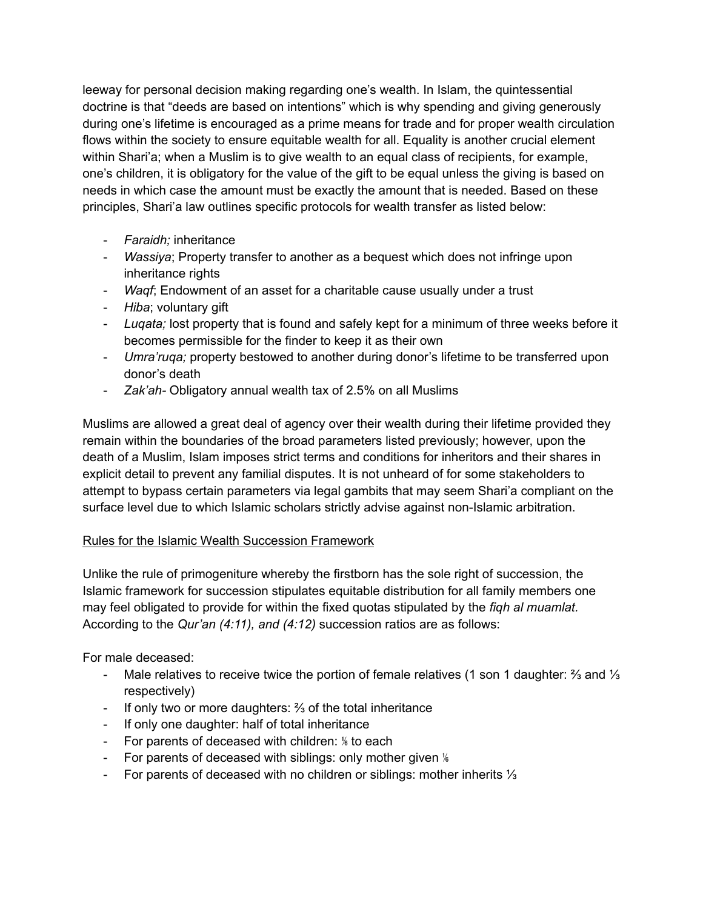leeway for personal decision making regarding one's wealth. In Islam, the quintessential doctrine is that "deeds are based on intentions" which is why spending and giving generously during one's lifetime is encouraged as a prime means for trade and for proper wealth circulation flows within the society to ensure equitable wealth for all. Equality is another crucial element within Shari'a; when a Muslim is to give wealth to an equal class of recipients, for example, one's children, it is obligatory for the value of the gift to be equal unless the giving is based on needs in which case the amount must be exactly the amount that is needed. Based on these principles, Shari'a law outlines specific protocols for wealth transfer as listed below:

- *Faraidh;* inheritance
- *Wassiya*; Property transfer to another as a bequest which does not infringe upon inheritance rights
- *Waqf*; Endowment of an asset for a charitable cause usually under a trust
- *Hiba*; voluntary gift
- *Luqata;* lost property that is found and safely kept for a minimum of three weeks before it becomes permissible for the finder to keep it as their own
- *Umra'ruqa;* property bestowed to another during donor's lifetime to be transferred upon donor's death
- *Zak'ah-* Obligatory annual wealth tax of 2.5% on all Muslims

Muslims are allowed a great deal of agency over their wealth during their lifetime provided they remain within the boundaries of the broad parameters listed previously; however, upon the death of a Muslim, Islam imposes strict terms and conditions for inheritors and their shares in explicit detail to prevent any familial disputes. It is not unheard of for some stakeholders to attempt to bypass certain parameters via legal gambits that may seem Shari'a compliant on the surface level due to which Islamic scholars strictly advise against non-Islamic arbitration.

# Rules for the Islamic Wealth Succession Framework

Unlike the rule of primogeniture whereby the firstborn has the sole right of succession, the Islamic framework for succession stipulates equitable distribution for all family members one may feel obligated to provide for within the fixed quotas stipulated by the *fiqh al muamlat.* According to the *Qur'an (4:11), and (4:12)* succession ratios are as follows:

For male deceased:

- Male relatives to receive twice the portion of female relatives (1 son 1 daughter: ⅔ and ⅓ respectively)
- If only two or more daughters: ⅔ of the total inheritance
- If only one daughter: half of total inheritance
- For parents of deceased with children: <sup>16</sup> to each
- For parents of deceased with siblings: only mother given <sup>16</sup>
- For parents of deceased with no children or siblings: mother inherits ⅓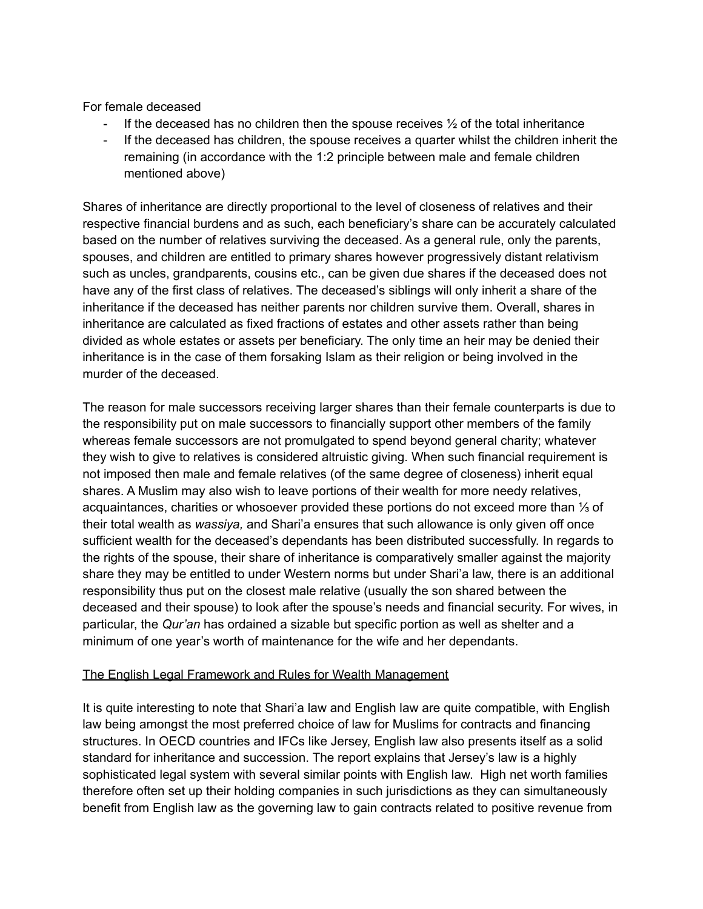For female deceased

- If the deceased has no children then the spouse receives  $\frac{1}{2}$  of the total inheritance
- If the deceased has children, the spouse receives a quarter whilst the children inherit the remaining (in accordance with the 1:2 principle between male and female children mentioned above)

Shares of inheritance are directly proportional to the level of closeness of relatives and their respective financial burdens and as such, each beneficiary's share can be accurately calculated based on the number of relatives surviving the deceased. As a general rule, only the parents, spouses, and children are entitled to primary shares however progressively distant relativism such as uncles, grandparents, cousins etc., can be given due shares if the deceased does not have any of the first class of relatives. The deceased's siblings will only inherit a share of the inheritance if the deceased has neither parents nor children survive them. Overall, shares in inheritance are calculated as fixed fractions of estates and other assets rather than being divided as whole estates or assets per beneficiary. The only time an heir may be denied their inheritance is in the case of them forsaking Islam as their religion or being involved in the murder of the deceased.

The reason for male successors receiving larger shares than their female counterparts is due to the responsibility put on male successors to financially support other members of the family whereas female successors are not promulgated to spend beyond general charity; whatever they wish to give to relatives is considered altruistic giving. When such financial requirement is not imposed then male and female relatives (of the same degree of closeness) inherit equal shares. A Muslim may also wish to leave portions of their wealth for more needy relatives, acquaintances, charities or whosoever provided these portions do not exceed more than ⅓ of their total wealth as *wassiya,* and Shari'a ensures that such allowance is only given off once sufficient wealth for the deceased's dependants has been distributed successfully. In regards to the rights of the spouse, their share of inheritance is comparatively smaller against the majority share they may be entitled to under Western norms but under Shari'a law, there is an additional responsibility thus put on the closest male relative (usually the son shared between the deceased and their spouse) to look after the spouse's needs and financial security. For wives, in particular, the *Qur'an* has ordained a sizable but specific portion as well as shelter and a minimum of one year's worth of maintenance for the wife and her dependants.

### The English Legal Framework and Rules for Wealth Management

It is quite interesting to note that Shari'a law and English law are quite compatible, with English law being amongst the most preferred choice of law for Muslims for contracts and financing structures. In OECD countries and IFCs like Jersey, English law also presents itself as a solid standard for inheritance and succession. The report explains that Jersey's law is a highly sophisticated legal system with several similar points with English law. High net worth families therefore often set up their holding companies in such jurisdictions as they can simultaneously benefit from English law as the governing law to gain contracts related to positive revenue from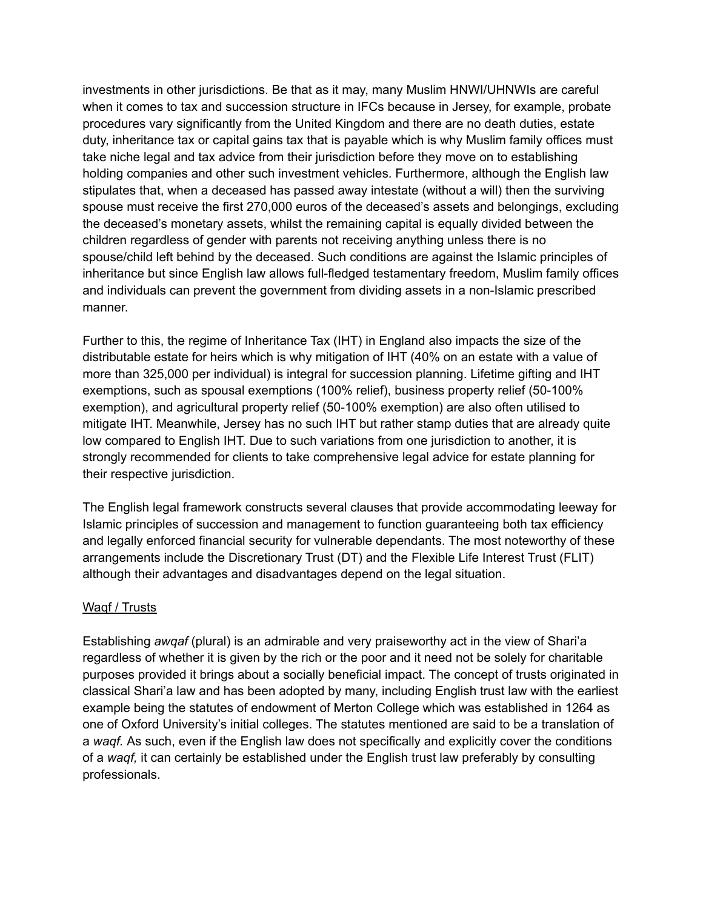investments in other jurisdictions. Be that as it may, many Muslim HNWI/UHNWIs are careful when it comes to tax and succession structure in IFCs because in Jersey, for example, probate procedures vary significantly from the United Kingdom and there are no death duties, estate duty, inheritance tax or capital gains tax that is payable which is why Muslim family offices must take niche legal and tax advice from their jurisdiction before they move on to establishing holding companies and other such investment vehicles. Furthermore, although the English law stipulates that, when a deceased has passed away intestate (without a will) then the surviving spouse must receive the first 270,000 euros of the deceased's assets and belongings, excluding the deceased's monetary assets, whilst the remaining capital is equally divided between the children regardless of gender with parents not receiving anything unless there is no spouse/child left behind by the deceased. Such conditions are against the Islamic principles of inheritance but since English law allows full-fledged testamentary freedom, Muslim family offices and individuals can prevent the government from dividing assets in a non-Islamic prescribed manner.

Further to this, the regime of Inheritance Tax (IHT) in England also impacts the size of the distributable estate for heirs which is why mitigation of IHT (40% on an estate with a value of more than 325,000 per individual) is integral for succession planning. Lifetime gifting and IHT exemptions, such as spousal exemptions (100% relief), business property relief (50-100% exemption), and agricultural property relief (50-100% exemption) are also often utilised to mitigate IHT. Meanwhile, Jersey has no such IHT but rather stamp duties that are already quite low compared to English IHT. Due to such variations from one jurisdiction to another, it is strongly recommended for clients to take comprehensive legal advice for estate planning for their respective jurisdiction.

The English legal framework constructs several clauses that provide accommodating leeway for Islamic principles of succession and management to function guaranteeing both tax efficiency and legally enforced financial security for vulnerable dependants. The most noteworthy of these arrangements include the Discretionary Trust (DT) and the Flexible Life Interest Trust (FLIT) although their advantages and disadvantages depend on the legal situation.

### Waqf / Trusts

Establishing *awqaf* (plural) is an admirable and very praiseworthy act in the view of Shari'a regardless of whether it is given by the rich or the poor and it need not be solely for charitable purposes provided it brings about a socially beneficial impact. The concept of trusts originated in classical Shari'a law and has been adopted by many, including English trust law with the earliest example being the statutes of endowment of Merton College which was established in 1264 as one of Oxford University's initial colleges. The statutes mentioned are said to be a translation of a *waqf.* As such, even if the English law does not specifically and explicitly cover the conditions of a *waqf,* it can certainly be established under the English trust law preferably by consulting professionals.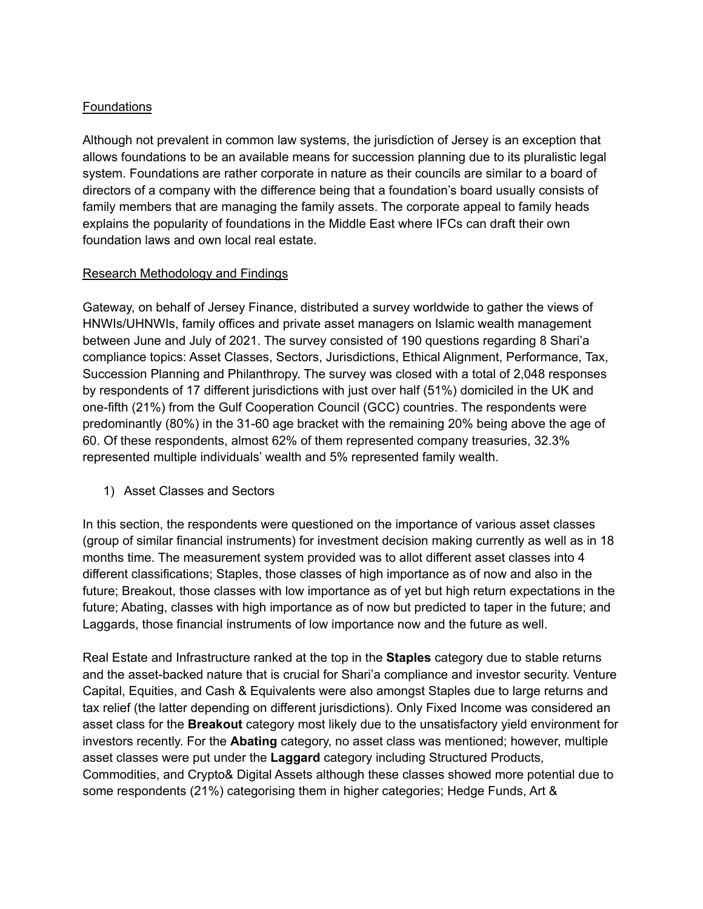# **Foundations**

Although not prevalent in common law systems, the jurisdiction of Jersey is an exception that allows foundations to be an available means for succession planning due to its pluralistic legal system. Foundations are rather corporate in nature as their councils are similar to a board of directors of a company with the difference being that a foundation's board usually consists of family members that are managing the family assets. The corporate appeal to family heads explains the popularity of foundations in the Middle East where IFCs can draft their own foundation laws and own local real estate.

### Research Methodology and Findings

Gateway, on behalf of Jersey Finance, distributed a survey worldwide to gather the views of HNWIs/UHNWIs, family offices and private asset managers on Islamic wealth management between June and July of 2021. The survey consisted of 190 questions regarding 8 Shari'a compliance topics: Asset Classes, Sectors, Jurisdictions, Ethical Alignment, Performance, Tax, Succession Planning and Philanthropy. The survey was closed with a total of 2,048 responses by respondents of 17 different jurisdictions with just over half (51%) domiciled in the UK and one-fifth (21%) from the Gulf Cooperation Council (GCC) countries. The respondents were predominantly (80%) in the 31-60 age bracket with the remaining 20% being above the age of 60. Of these respondents, almost 62% of them represented company treasuries, 32.3% represented multiple individuals' wealth and 5% represented family wealth.

1) Asset Classes and Sectors

In this section, the respondents were questioned on the importance of various asset classes (group of similar financial instruments) for investment decision making currently as well as in 18 months time. The measurement system provided was to allot different asset classes into 4 different classifications; Staples, those classes of high importance as of now and also in the future; Breakout, those classes with low importance as of yet but high return expectations in the future; Abating, classes with high importance as of now but predicted to taper in the future; and Laggards, those financial instruments of low importance now and the future as well.

Real Estate and Infrastructure ranked at the top in the **Staples** category due to stable returns and the asset-backed nature that is crucial for Shari'a compliance and investor security. Venture Capital, Equities, and Cash & Equivalents were also amongst Staples due to large returns and tax relief (the latter depending on different jurisdictions). Only Fixed Income was considered an asset class for the **Breakout** category most likely due to the unsatisfactory yield environment for investors recently. For the **Abating** category, no asset class was mentioned; however, multiple asset classes were put under the **Laggard** category including Structured Products, Commodities, and Crypto& Digital Assets although these classes showed more potential due to some respondents (21%) categorising them in higher categories; Hedge Funds, Art &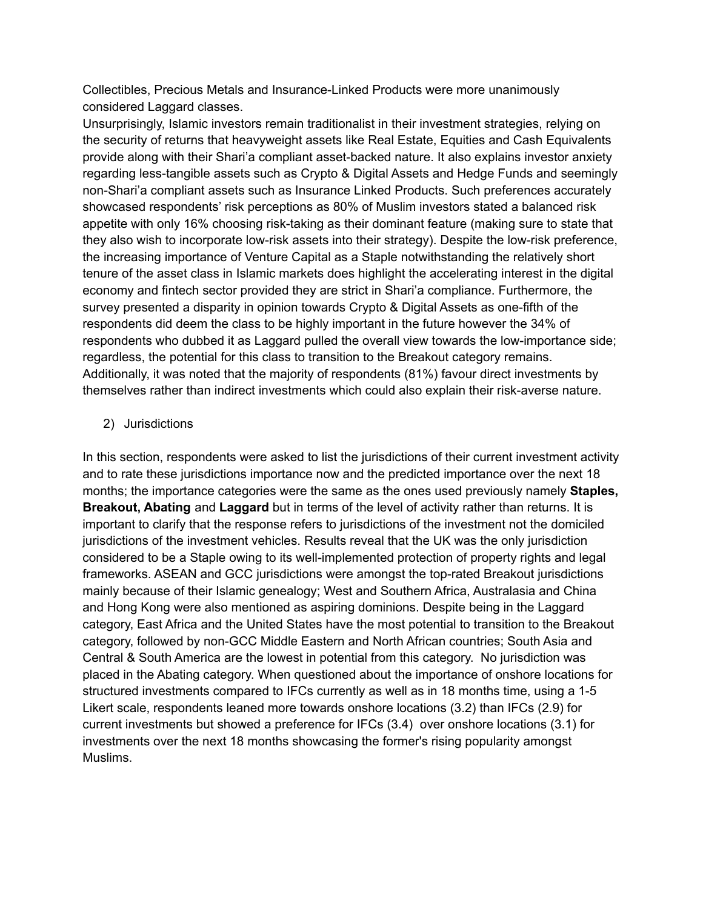Collectibles, Precious Metals and Insurance-Linked Products were more unanimously considered Laggard classes.

Unsurprisingly, Islamic investors remain traditionalist in their investment strategies, relying on the security of returns that heavyweight assets like Real Estate, Equities and Cash Equivalents provide along with their Shari'a compliant asset-backed nature. It also explains investor anxiety regarding less-tangible assets such as Crypto & Digital Assets and Hedge Funds and seemingly non-Shari'a compliant assets such as Insurance Linked Products. Such preferences accurately showcased respondents' risk perceptions as 80% of Muslim investors stated a balanced risk appetite with only 16% choosing risk-taking as their dominant feature (making sure to state that they also wish to incorporate low-risk assets into their strategy). Despite the low-risk preference, the increasing importance of Venture Capital as a Staple notwithstanding the relatively short tenure of the asset class in Islamic markets does highlight the accelerating interest in the digital economy and fintech sector provided they are strict in Shari'a compliance. Furthermore, the survey presented a disparity in opinion towards Crypto & Digital Assets as one-fifth of the respondents did deem the class to be highly important in the future however the 34% of respondents who dubbed it as Laggard pulled the overall view towards the low-importance side; regardless, the potential for this class to transition to the Breakout category remains. Additionally, it was noted that the majority of respondents (81%) favour direct investments by themselves rather than indirect investments which could also explain their risk-averse nature.

## 2) Jurisdictions

In this section, respondents were asked to list the jurisdictions of their current investment activity and to rate these jurisdictions importance now and the predicted importance over the next 18 months; the importance categories were the same as the ones used previously namely **Staples, Breakout, Abating** and **Laggard** but in terms of the level of activity rather than returns. It is important to clarify that the response refers to jurisdictions of the investment not the domiciled jurisdictions of the investment vehicles. Results reveal that the UK was the only jurisdiction considered to be a Staple owing to its well-implemented protection of property rights and legal frameworks. ASEAN and GCC jurisdictions were amongst the top-rated Breakout jurisdictions mainly because of their Islamic genealogy; West and Southern Africa, Australasia and China and Hong Kong were also mentioned as aspiring dominions. Despite being in the Laggard category, East Africa and the United States have the most potential to transition to the Breakout category, followed by non-GCC Middle Eastern and North African countries; South Asia and Central & South America are the lowest in potential from this category. No jurisdiction was placed in the Abating category. When questioned about the importance of onshore locations for structured investments compared to IFCs currently as well as in 18 months time, using a 1-5 Likert scale, respondents leaned more towards onshore locations (3.2) than IFCs (2.9) for current investments but showed a preference for IFCs (3.4) over onshore locations (3.1) for investments over the next 18 months showcasing the former's rising popularity amongst Muslims.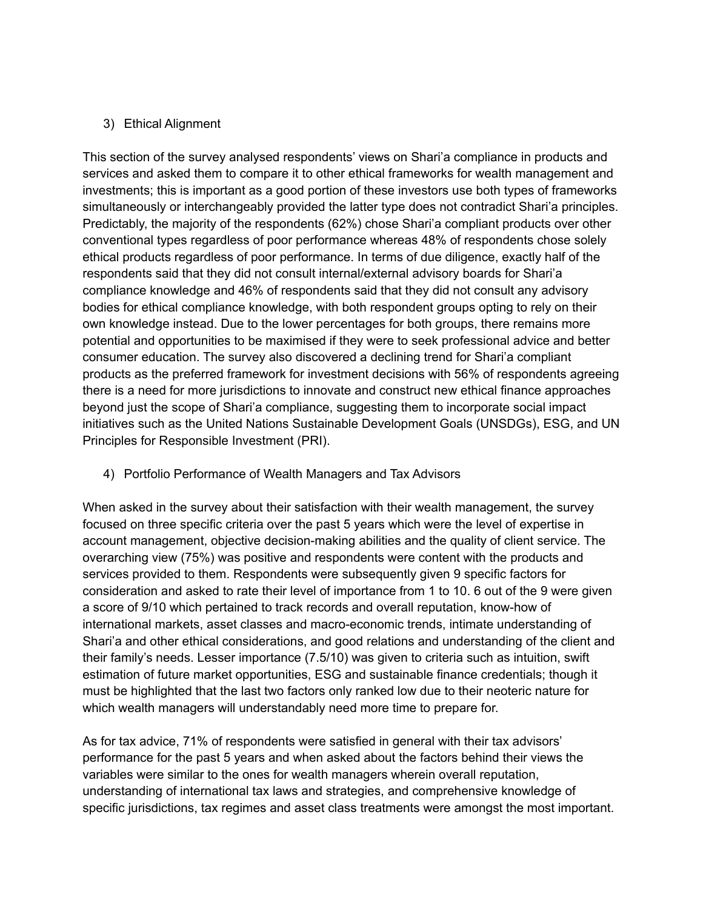## 3) Ethical Alignment

This section of the survey analysed respondents' views on Shari'a compliance in products and services and asked them to compare it to other ethical frameworks for wealth management and investments; this is important as a good portion of these investors use both types of frameworks simultaneously or interchangeably provided the latter type does not contradict Shari'a principles. Predictably, the majority of the respondents (62%) chose Shari'a compliant products over other conventional types regardless of poor performance whereas 48% of respondents chose solely ethical products regardless of poor performance. In terms of due diligence, exactly half of the respondents said that they did not consult internal/external advisory boards for Shari'a compliance knowledge and 46% of respondents said that they did not consult any advisory bodies for ethical compliance knowledge, with both respondent groups opting to rely on their own knowledge instead. Due to the lower percentages for both groups, there remains more potential and opportunities to be maximised if they were to seek professional advice and better consumer education. The survey also discovered a declining trend for Shari'a compliant products as the preferred framework for investment decisions with 56% of respondents agreeing there is a need for more jurisdictions to innovate and construct new ethical finance approaches beyond just the scope of Shari'a compliance, suggesting them to incorporate social impact initiatives such as the United Nations Sustainable Development Goals (UNSDGs), ESG, and UN Principles for Responsible Investment (PRI).

4) Portfolio Performance of Wealth Managers and Tax Advisors

When asked in the survey about their satisfaction with their wealth management, the survey focused on three specific criteria over the past 5 years which were the level of expertise in account management, objective decision-making abilities and the quality of client service. The overarching view (75%) was positive and respondents were content with the products and services provided to them. Respondents were subsequently given 9 specific factors for consideration and asked to rate their level of importance from 1 to 10. 6 out of the 9 were given a score of 9/10 which pertained to track records and overall reputation, know-how of international markets, asset classes and macro-economic trends, intimate understanding of Shari'a and other ethical considerations, and good relations and understanding of the client and their family's needs. Lesser importance (7.5/10) was given to criteria such as intuition, swift estimation of future market opportunities, ESG and sustainable finance credentials; though it must be highlighted that the last two factors only ranked low due to their neoteric nature for which wealth managers will understandably need more time to prepare for.

As for tax advice, 71% of respondents were satisfied in general with their tax advisors' performance for the past 5 years and when asked about the factors behind their views the variables were similar to the ones for wealth managers wherein overall reputation, understanding of international tax laws and strategies, and comprehensive knowledge of specific jurisdictions, tax regimes and asset class treatments were amongst the most important.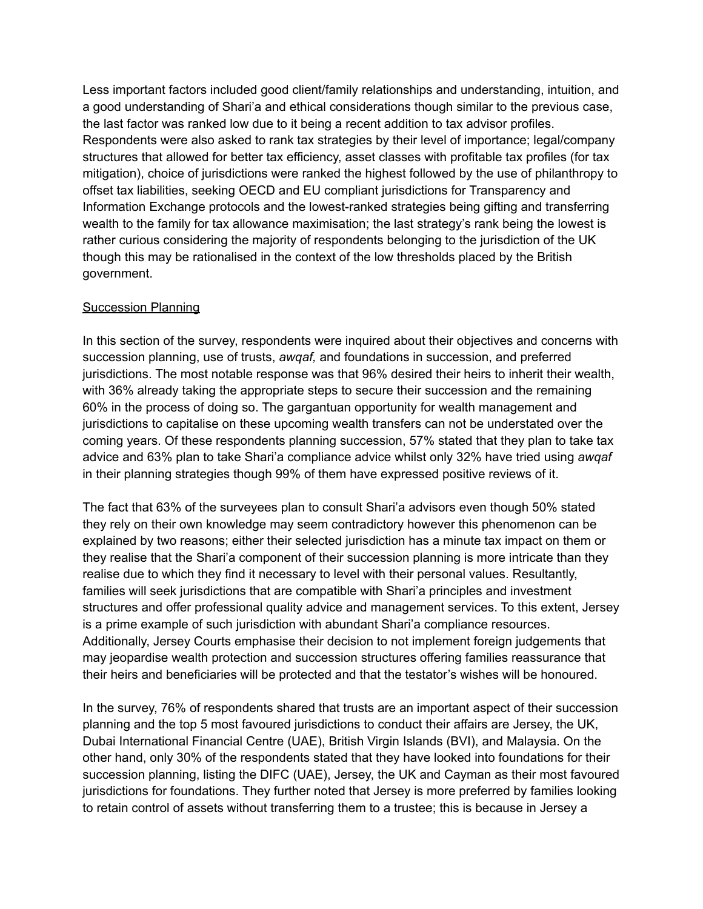Less important factors included good client/family relationships and understanding, intuition, and a good understanding of Shari'a and ethical considerations though similar to the previous case, the last factor was ranked low due to it being a recent addition to tax advisor profiles. Respondents were also asked to rank tax strategies by their level of importance; legal/company structures that allowed for better tax efficiency, asset classes with profitable tax profiles (for tax mitigation), choice of jurisdictions were ranked the highest followed by the use of philanthropy to offset tax liabilities, seeking OECD and EU compliant jurisdictions for Transparency and Information Exchange protocols and the lowest-ranked strategies being gifting and transferring wealth to the family for tax allowance maximisation; the last strategy's rank being the lowest is rather curious considering the majority of respondents belonging to the jurisdiction of the UK though this may be rationalised in the context of the low thresholds placed by the British government.

## Succession Planning

In this section of the survey, respondents were inquired about their objectives and concerns with succession planning, use of trusts, *awqaf,* and foundations in succession, and preferred jurisdictions. The most notable response was that 96% desired their heirs to inherit their wealth, with 36% already taking the appropriate steps to secure their succession and the remaining 60% in the process of doing so. The gargantuan opportunity for wealth management and jurisdictions to capitalise on these upcoming wealth transfers can not be understated over the coming years. Of these respondents planning succession, 57% stated that they plan to take tax advice and 63% plan to take Shari'a compliance advice whilst only 32% have tried using *awqaf* in their planning strategies though 99% of them have expressed positive reviews of it.

The fact that 63% of the surveyees plan to consult Shari'a advisors even though 50% stated they rely on their own knowledge may seem contradictory however this phenomenon can be explained by two reasons; either their selected jurisdiction has a minute tax impact on them or they realise that the Shari'a component of their succession planning is more intricate than they realise due to which they find it necessary to level with their personal values. Resultantly, families will seek jurisdictions that are compatible with Shari'a principles and investment structures and offer professional quality advice and management services. To this extent, Jersey is a prime example of such jurisdiction with abundant Shari'a compliance resources. Additionally, Jersey Courts emphasise their decision to not implement foreign judgements that may jeopardise wealth protection and succession structures offering families reassurance that their heirs and beneficiaries will be protected and that the testator's wishes will be honoured.

In the survey, 76% of respondents shared that trusts are an important aspect of their succession planning and the top 5 most favoured jurisdictions to conduct their affairs are Jersey, the UK, Dubai International Financial Centre (UAE), British Virgin Islands (BVI), and Malaysia. On the other hand, only 30% of the respondents stated that they have looked into foundations for their succession planning, listing the DIFC (UAE), Jersey, the UK and Cayman as their most favoured jurisdictions for foundations. They further noted that Jersey is more preferred by families looking to retain control of assets without transferring them to a trustee; this is because in Jersey a